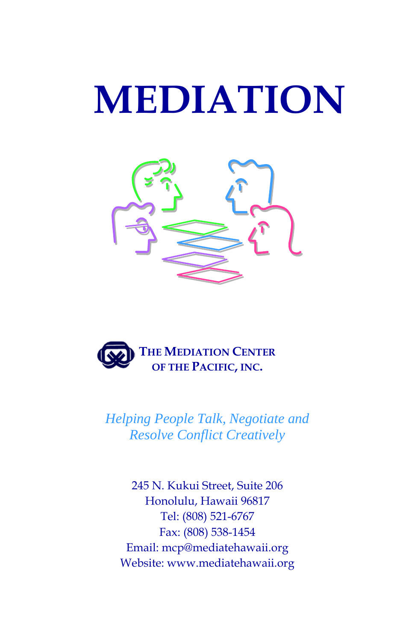# **MEDIATION**





*Helping People Talk, Negotiate and Resolve Conflict Creatively*

245 N. Kukui Street, Suite 206 Honolulu, Hawaii 96817 Tel: (808) 521-6767 Fax: (808) 538-1454 Email: mcp@mediatehawaii.org Website: www.mediatehawaii.org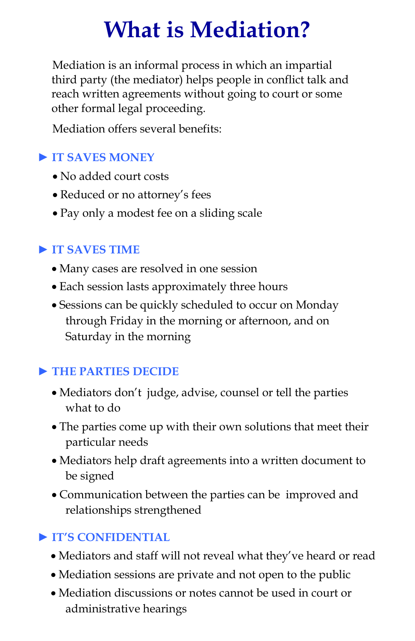### **What is Mediation?**

Mediation is an informal process in which an impartial third party (the mediator) helps people in conflict talk and reach written agreements without going to court or some other formal legal proceeding.

Mediation offers several benefits:

#### ► **IT SAVES MONEY**

- No added court costs
- Reduced or no attorney's fees
- Pay only a modest fee on a sliding scale

#### ► **IT SAVES TIME**

- Many cases are resolved in one session
- Each session lasts approximately three hours
- Sessions can be quickly scheduled to occur on Monday through Friday in the morning or afternoon, and on Saturday in the morning

#### ► **THE PARTIES DECIDE**

- Mediators don't judge, advise, counsel or tell the parties what to do
- The parties come up with their own solutions that meet their particular needs
- Mediators help draft agreements into a written document to be signed
- Communication between the parties can be improved and relationships strengthened

#### ► **IT'S CONFIDENTIAL**

- Mediators and staff will not reveal what they've heard or read
- Mediation sessions are private and not open to the public
- Mediation discussions or notes cannot be used in court or administrative hearings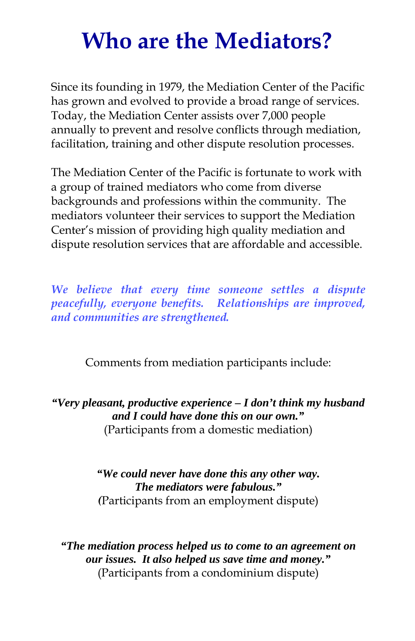### **Who are the Mediators?**

Since its founding in 1979, the Mediation Center of the Pacific has grown and evolved to provide a broad range of services. Today, the Mediation Center assists over 7,000 people annually to prevent and resolve conflicts through mediation, facilitation, training and other dispute resolution processes.

The Mediation Center of the Pacific is fortunate to work with a group of trained mediators who come from diverse backgrounds and professions within the community. The mediators volunteer their services to support the Mediation Center's mission of providing high quality mediation and dispute resolution services that are affordable and accessible.

*We believe that every time someone settles a dispute peacefully, everyone benefits. Relationships are improved, and communities are strengthened.*

Comments from mediation participants include:

*"Very pleasant, productive experience – I don't think my husband and I could have done this on our own."* (Participants from a domestic mediation)

> *"We could never have done this any other way. The mediators were fabulous." (*Participants from an employment dispute)

*"The mediation process helped us to come to an agreement on our issues. It also helped us save time and money."* (Participants from a condominium dispute)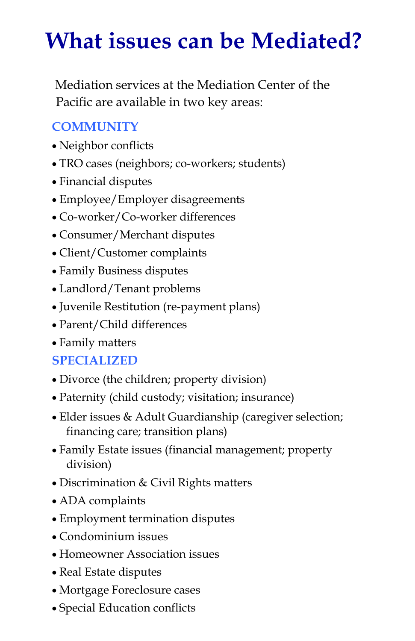### **What issues can be Mediated?**

Mediation services at the Mediation Center of the Pacific are available in two key areas:

#### **COMMUNITY**

- Neighbor conflicts
- TRO cases (neighbors; co-workers; students)
- Financial disputes
- Employee/Employer disagreements
- Co-worker/Co-worker differences
- Consumer/Merchant disputes
- Client/Customer complaints
- Family Business disputes
- Landlord/Tenant problems
- Juvenile Restitution (re-payment plans)
- Parent/Child differences
- Family matters

#### **SPECIALIZED**

- Divorce (the children; property division)
- Paternity (child custody; visitation; insurance)
- Elder issues & Adult Guardianship (caregiver selection; financing care; transition plans)
- Family Estate issues (financial management; property division)
- Discrimination & Civil Rights matters
- ADA complaints
- Employment termination disputes
- Condominium issues
- Homeowner Association issues
- Real Estate disputes
- Mortgage Foreclosure cases
- Special Education conflicts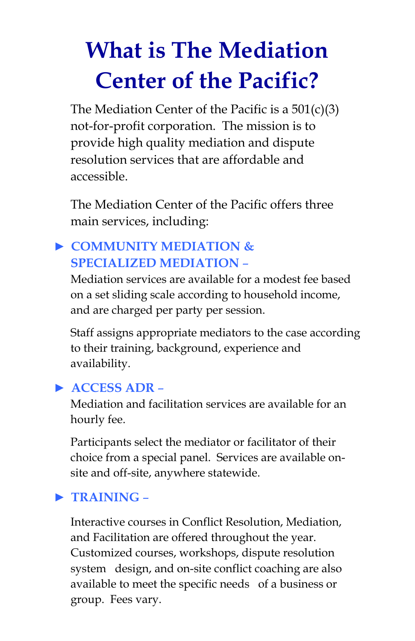## **What is The Mediation Center of the Pacific?**

The Mediation Center of the Pacific is a 501(c)(3) not-for-profit corporation. The mission is to provide high quality mediation and dispute resolution services that are affordable and accessible.

The Mediation Center of the Pacific offers three main services, including:

#### ► **COMMUNITY MEDIATION & SPECIALIZED MEDIATION** –

Mediation services are available for a modest fee based on a set sliding scale according to household income, and are charged per party per session.

Staff assigns appropriate mediators to the case according to their training, background, experience and availability.

#### ► **ACCESS ADR** –

Mediation and facilitation services are available for an hourly fee.

Participants select the mediator or facilitator of their choice from a special panel. Services are available onsite and off-site, anywhere statewide.

#### ► **TRAINING** –

Interactive courses in Conflict Resolution, Mediation, and Facilitation are offered throughout the year. Customized courses, workshops, dispute resolution system design, and on-site conflict coaching are also available to meet the specific needs of a business or group. Fees vary.